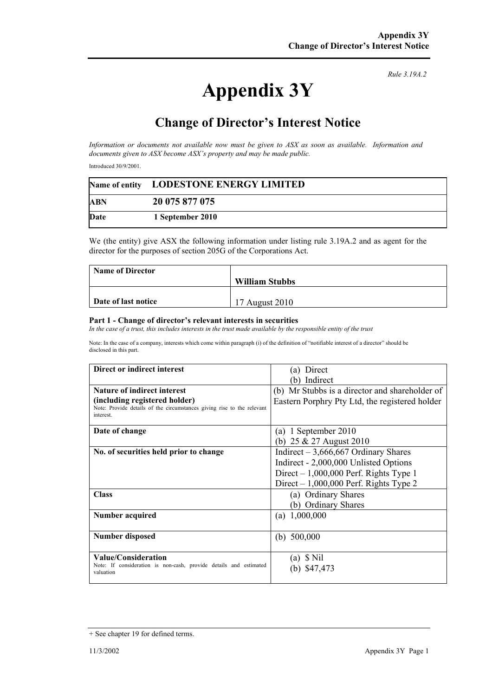## **Appendix 3Y**

*Rule 3.19A.2*

## **Change of Director's Interest Notice**

*Information or documents not available now must be given to ASX as soon as available. Information and documents given to ASX become ASX's property and may be made public.* 

Introduced 30/9/2001.

|            | Name of entity LODESTONE ENERGY LIMITED |  |
|------------|-----------------------------------------|--|
| <b>ABN</b> | 20 075 877 075                          |  |
| Date       | 1 September 2010                        |  |

We (the entity) give ASX the following information under listing rule 3.19A.2 and as agent for the director for the purposes of section 205G of the Corporations Act.

| <b>Name of Director</b> |                       |
|-------------------------|-----------------------|
|                         | <b>William Stubbs</b> |
|                         |                       |
| Date of last notice     | 17 August 2010        |

## **Part 1 - Change of director's relevant interests in securities**

In the case of a trust, this includes interests in the trust made available by the responsible entity of the trust

Note: In the case of a company, interests which come within paragraph (i) of the definition of "notifiable interest of a director" should be disclosed in this part.

| Direct or indirect interest                                                        | Direct<br>(a)                                  |
|------------------------------------------------------------------------------------|------------------------------------------------|
|                                                                                    | Indirect                                       |
| <b>Nature of indirect interest</b>                                                 | (b) Mr Stubbs is a director and shareholder of |
| (including registered holder)                                                      | Eastern Porphry Pty Ltd, the registered holder |
| Note: Provide details of the circumstances giving rise to the relevant<br>interest |                                                |
| Date of change                                                                     | (a) 1 September 2010                           |
|                                                                                    | (b) $25 \& 27$ August 2010                     |
| No. of securities held prior to change                                             | Indirect $-3,666,667$ Ordinary Shares          |
|                                                                                    | Indirect - 2,000,000 Unlisted Options          |
|                                                                                    | Direct $-1,000,000$ Perf. Rights Type 1        |
|                                                                                    | Direct $-1,000,000$ Perf. Rights Type 2        |
| <b>Class</b>                                                                       | (a) Ordinary Shares                            |
|                                                                                    | (b) Ordinary Shares                            |
| Number acquired                                                                    | (a) $1,000,000$                                |
| Number disposed                                                                    | (b) $500,000$                                  |
| Value/Consideration                                                                | \$ Nil<br>(a)                                  |
| Note: If consideration is non-cash, provide details and estimated<br>valuation     | \$47,473                                       |

<sup>+</sup> See chapter 19 for defined terms.